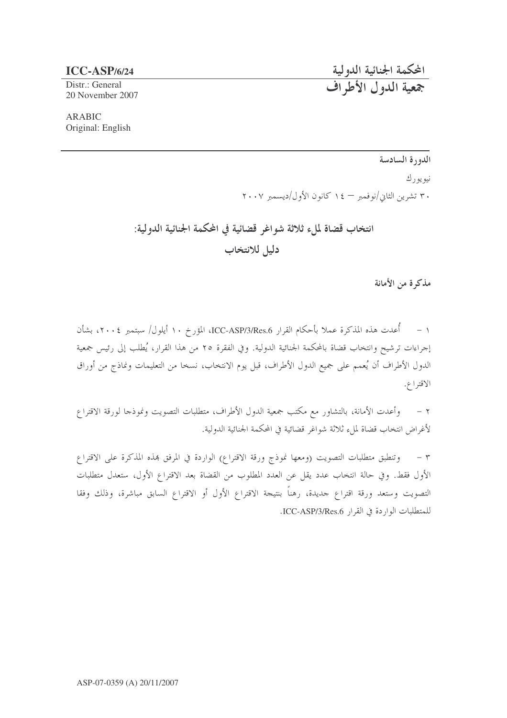## $ICC-ASP/6/24$

Distr.: General 20 November 2007

**ARABIC** Original: English

## الدورة السادسة

المحكمة الجنائية الدولية<br>جمعية الدول الأطراف

نيو يو رك

۳۰ تشرین الثایی/نوفمبر — ۱٤ کانون الأول/دیسمبر ۲۰۰۷

انتخاب قضاة لملء ثلاثة شواغر قضائية في المحكمة الجنائية الدولية: دليل للانتخاب

مذكرة من الأمانة

١ – أُعدت هذه المذكرة عملا بأحكام القرار ICC-ASP/3/Res.6، المؤرخ ١٠ أيلول/ سبتمبر ٢٠٠٤، بشأن إجراءات ترشيح وانتخاب قضاة بالمحكمة الجنائية الدولية. وفي الفقرة ٢٥ من هذا القرار، يُطلب إلى رئيس جمعية الدول الأطراف أن يُعمم على جميع الدول الأطراف، قبل يوم الانتخاب، نسخا من التعليمات ونماذج من أوراق الاقتراع.

وأعدت الأمانة، بالتشاور مع مكتب جمعية الدول الأطراف، متطلبات التصويت ونموذجا لورقة الاقتراع  $-7$ لأغراض انتخاب قضاة لملء ثلاثة شواغر قضائية في المحكمة الجنائية الدولية.

٣ – وتنطبق متطلبات التصويت (ومعها نموذج ورقة الاقتراع) الواردة في المرفق هذه المذكرة على الاقتراع الأول فقط. وفي حالة انتخاب عدد يقل عن العدد المطلوب من القضاة بعد الاقتراع الأول، ستعدل متطلبات التصويت وستعد ورقة اقتراع حديدة، رهناً بنتيجة الاقتراع الأول أو الاقتراع السابق مباشرة، وذلك وفقا للمتطلبات الواردة في القرار ICC-ASP/3/Res.6.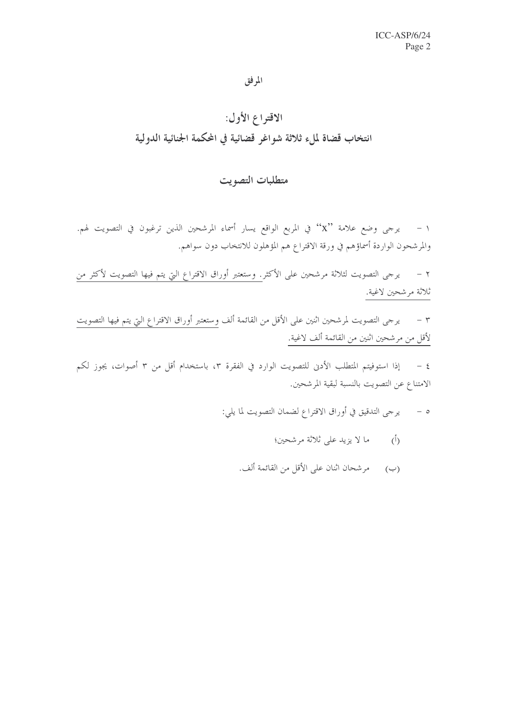المرفق

## الاقتراع الأول: انتخاب قضاة لملء ثلاثة شواغر قضائية في المحكمة الجنائية الدولية

## متطلبات التصويت

١ – يرجى وضع علامة ``X'' في المربع الواقع يسار أسماء المرشحين الذين ترغبون في التصويت لهم. والمرشحون الواردة أسماؤهم في ورقة الاقتراع هم المؤهلون للانتخاب دون سواهم.

٢ – يرجى التصويت لثلاثة مرشحين على الأكثر. وستعتبر أوراق الاقتراع التي يتم فيها التصويت لأكثر من ثلاثة مرشحين لاغية.

٣ – يرجى التصويت لمرشحين اثنين على الأقل من القائمة ألف وستعتبر أوراق الاقتراع التي يتم فيها التصويت لأقل من مرشحين اثنين من القائمة ألف لاغية.

٤ – إذا استوفيتم المتطلب الأدنى للتصويت الوارد في الفقرة ٣، باستخدام أقل من ٣ أصوات، يجوز لكم الامتناع عن التصويت بالنسبة لبقية المرشحين.

- ه يرجى التدقيق في أوراق الاقتراع لضمان التصويت لما يلي:
	- (أ) ما لا يزيد على ثلاثة مرشحين؛
	- (ب) مرشحان اثنان على الأقل من القائمة ألف.